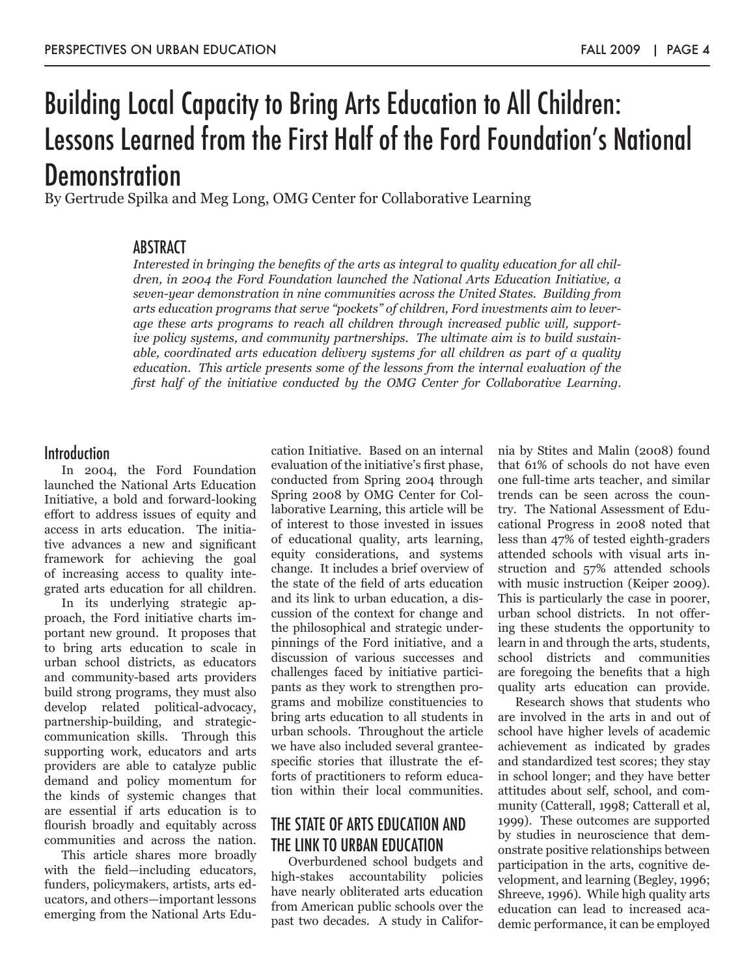# Building Local Capacity to Bring Arts Education to All Children: Lessons Learned from the First Half of the Ford Foundation's National **Demonstration**

By Gertrude Spilka and Meg Long, OMG Center for Collaborative Learning

### **ABSTRACT**

*Interested in bringing the benefits of the arts as integral to quality education for all children, in 2004 the Ford Foundation launched the National Arts Education Initiative, a seven-year demonstration in nine communities across the United States. Building from arts education programs that serve "pockets" of children, Ford investments aim to leverage these arts programs to reach all children through increased public will, supportive policy systems, and community partnerships. The ultimate aim is to build sustainable, coordinated arts education delivery systems for all children as part of a quality education. This article presents some of the lessons from the internal evaluation of the first half of the initiative conducted by the OMG Center for Collaborative Learning.*

### **Introduction**

In 2004, the Ford Foundation launched the National Arts Education Initiative, a bold and forward-looking effort to address issues of equity and access in arts education. The initiative advances a new and significant framework for achieving the goal of increasing access to quality integrated arts education for all children.

In its underlying strategic approach, the Ford initiative charts important new ground. It proposes that to bring arts education to scale in urban school districts, as educators and community-based arts providers build strong programs, they must also develop related political-advocacy, partnership-building, and strategiccommunication skills. Through this supporting work, educators and arts providers are able to catalyze public demand and policy momentum for the kinds of systemic changes that are essential if arts education is to flourish broadly and equitably across communities and across the nation.

This article shares more broadly with the field—including educators, funders, policymakers, artists, arts educators, and others—important lessons emerging from the National Arts Edu-

cation Initiative. Based on an internal evaluation of the initiative's first phase, conducted from Spring 2004 through Spring 2008 by OMG Center for Collaborative Learning, this article will be of interest to those invested in issues of educational quality, arts learning, equity considerations, and systems change. It includes a brief overview of the state of the field of arts education and its link to urban education, a discussion of the context for change and the philosophical and strategic underpinnings of the Ford initiative, and a discussion of various successes and challenges faced by initiative participants as they work to strengthen programs and mobilize constituencies to bring arts education to all students in urban schools. Throughout the article we have also included several granteespecific stories that illustrate the efforts of practitioners to reform education within their local communities.

### THE STATE OF ARTS EDUCATION AND THE LINK TO URBAN EDUCATION

Overburdened school budgets and high-stakes accountability policies have nearly obliterated arts education from American public schools over the past two decades. A study in California by Stites and Malin (2008) found that 61% of schools do not have even one full-time arts teacher, and similar trends can be seen across the country. The National Assessment of Educational Progress in 2008 noted that less than 47% of tested eighth-graders attended schools with visual arts instruction and 57% attended schools with music instruction (Keiper 2009). This is particularly the case in poorer, urban school districts. In not offering these students the opportunity to learn in and through the arts, students, school districts and communities are foregoing the benefits that a high quality arts education can provide.

Research shows that students who are involved in the arts in and out of school have higher levels of academic achievement as indicated by grades and standardized test scores; they stay in school longer; and they have better attitudes about self, school, and community (Catterall, 1998; Catterall et al, 1999). These outcomes are supported by studies in neuroscience that demonstrate positive relationships between participation in the arts, cognitive development, and learning (Begley, 1996; Shreeve, 1996). While high quality arts education can lead to increased academic performance, it can be employed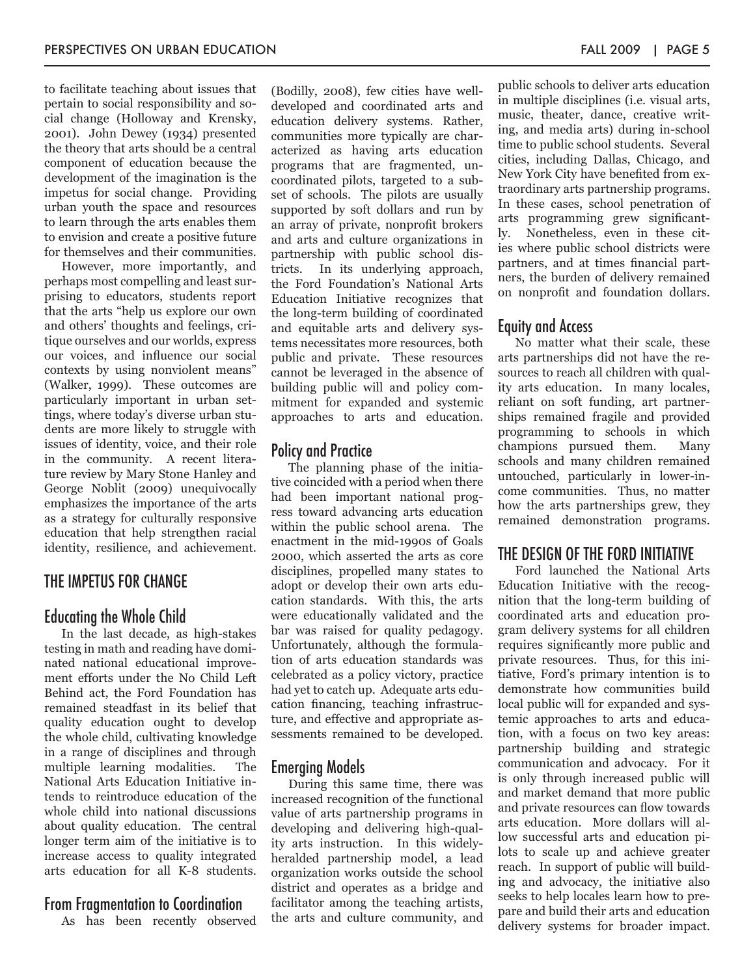to facilitate teaching about issues that pertain to social responsibility and social change (Holloway and Krensky, 2001). John Dewey (1934) presented the theory that arts should be a central component of education because the development of the imagination is the impetus for social change. Providing urban youth the space and resources to learn through the arts enables them to envision and create a positive future for themselves and their communities.

However, more importantly, and perhaps most compelling and least surprising to educators, students report that the arts "help us explore our own and others' thoughts and feelings, critique ourselves and our worlds, express our voices, and influence our social contexts by using nonviolent means" (Walker, 1999). These outcomes are particularly important in urban settings, where today's diverse urban students are more likely to struggle with issues of identity, voice, and their role in the community. A recent literature review by Mary Stone Hanley and George Noblit (2009) unequivocally emphasizes the importance of the arts as a strategy for culturally responsive education that help strengthen racial identity, resilience, and achievement.

#### THE IMPETUS FOR CHANGE

#### Educating the Whole Child

In the last decade, as high-stakes testing in math and reading have dominated national educational improvement efforts under the No Child Left Behind act, the Ford Foundation has remained steadfast in its belief that quality education ought to develop the whole child, cultivating knowledge in a range of disciplines and through multiple learning modalities. The National Arts Education Initiative intends to reintroduce education of the whole child into national discussions about quality education. The central longer term aim of the initiative is to increase access to quality integrated arts education for all K-8 students.

#### From Fragmentation to Coordination

As has been recently observed

(Bodilly, 2008), few cities have welldeveloped and coordinated arts and education delivery systems. Rather, communities more typically are characterized as having arts education programs that are fragmented, uncoordinated pilots, targeted to a subset of schools. The pilots are usually supported by soft dollars and run by an array of private, nonprofit brokers and arts and culture organizations in partnership with public school districts. In its underlying approach, the Ford Foundation's National Arts Education Initiative recognizes that the long-term building of coordinated and equitable arts and delivery systems necessitates more resources, both public and private. These resources cannot be leveraged in the absence of building public will and policy commitment for expanded and systemic approaches to arts and education.

#### Policy and Practice

The planning phase of the initiative coincided with a period when there had been important national progress toward advancing arts education within the public school arena. The enactment in the mid-1990s of Goals 2000, which asserted the arts as core disciplines, propelled many states to adopt or develop their own arts education standards. With this, the arts were educationally validated and the bar was raised for quality pedagogy. Unfortunately, although the formulation of arts education standards was celebrated as a policy victory, practice had yet to catch up. Adequate arts education financing, teaching infrastructure, and effective and appropriate assessments remained to be developed.

#### Emerging Models

During this same time, there was increased recognition of the functional value of arts partnership programs in developing and delivering high-quality arts instruction. In this widelyheralded partnership model, a lead organization works outside the school district and operates as a bridge and facilitator among the teaching artists, the arts and culture community, and public schools to deliver arts education in multiple disciplines (i.e. visual arts, music, theater, dance, creative writing, and media arts) during in-school time to public school students. Several cities, including Dallas, Chicago, and New York City have benefited from extraordinary arts partnership programs. In these cases, school penetration of arts programming grew significantly. Nonetheless, even in these cities where public school districts were partners, and at times financial partners, the burden of delivery remained on nonprofit and foundation dollars.

#### Equity and Access

No matter what their scale, these arts partnerships did not have the resources to reach all children with quality arts education. In many locales, reliant on soft funding, art partnerships remained fragile and provided programming to schools in which champions pursued them. Many schools and many children remained untouched, particularly in lower-income communities. Thus, no matter how the arts partnerships grew, they remained demonstration programs.

#### THE DESIGN OF THE FORD INITIATIVE

Ford launched the National Arts Education Initiative with the recognition that the long-term building of coordinated arts and education program delivery systems for all children requires significantly more public and private resources. Thus, for this initiative, Ford's primary intention is to demonstrate how communities build local public will for expanded and systemic approaches to arts and education, with a focus on two key areas: partnership building and strategic communication and advocacy. For it is only through increased public will and market demand that more public and private resources can flow towards arts education. More dollars will allow successful arts and education pilots to scale up and achieve greater reach. In support of public will building and advocacy, the initiative also seeks to help locales learn how to prepare and build their arts and education delivery systems for broader impact.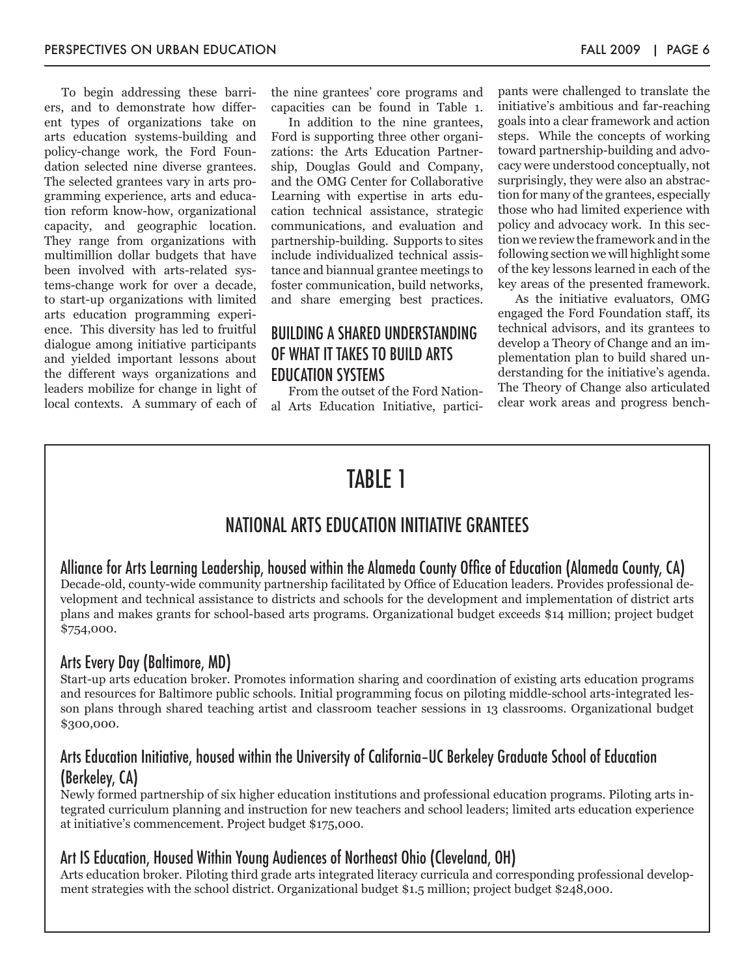To begin addressing these barriers, and to demonstrate how different types of organizations take on arts education systems-building and policy-change work, the Ford Foundation selected nine diverse grantees. The selected grantees vary in arts programming experience, arts and education reform know-how, organizational capacity, and geographic location. They range from organizations with multimillion dollar budgets that have been involved with arts-related systems-change work for over a decade, to start-up organizations with limited arts education programming experience. This diversity has led to fruitful dialogue among initiative participants and yielded important lessons about the different ways organizations and leaders mobilize for change in light of local contexts. A summary of each of the nine grantees' core programs and capacities can be found in Table 1.

In addition to the nine grantees, Ford is supporting three other organizations: the Arts Education Partnership, Douglas Gould and Company, and the OMG Center for Collaborative Learning with expertise in arts education technical assistance, strategic communications, and evaluation and partnership-building. Supports to sites include individualized technical assistance and biannual grantee meetings to foster communication, build networks, and share emerging best practices.

### BUILDING A SHARED UNDERSTANDING OF WHAT IT TAKES TO BUILD ARTS EDUCATION SYSTEMS

From the outset of the Ford National Arts Education Initiative, participants were challenged to translate the initiative's ambitious and far-reaching goals into a clear framework and action steps. While the concepts of working toward partnership-building and advocacy were understood conceptually, not surprisingly, they were also an abstraction for many of the grantees, especially those who had limited experience with policy and advocacy work. In this section we review the framework and in the following section we will highlight some of the key lessons learned in each of the key areas of the presented framework.

As the initiative evaluators, OMG engaged the Ford Foundation staff, its technical advisors, and its grantees to develop a Theory of Change and an implementation plan to build shared understanding for the initiative's agenda. The Theory of Change also articulated clear work areas and progress bench-

## TABIF<sub>1</sub>

### NATIONAL ARTS EDUCATION INITIATIVE GRANTEES

Alliance for Arts Learning Leadership, housed within the Alameda County Office of Education (Alameda County, CA) Decade-old, county-wide community partnership facilitated by Office of Education leaders. Provides professional development and technical assistance to districts and schools for the development and implementation of district arts plans and makes grants for school-based arts programs. Organizational budget exceeds \$14 million; project budget \$754,000.

#### Arts Every Day (Baltimore, MD)

Start-up arts education broker. Promotes information sharing and coordination of existing arts education programs and resources for Baltimore public schools. Initial programming focus on piloting middle-school arts-integrated lesson plans through shared teaching artist and classroom teacher sessions in 13 classrooms. Organizational budget \$300,000.

### Arts Education Initiative, housed within the University of California–UC Berkeley Graduate School of Education (Berkeley, CA)

Newly formed partnership of six higher education institutions and professional education programs. Piloting arts integrated curriculum planning and instruction for new teachers and school leaders; limited arts education experience at initiative's commencement. Project budget \$175,000.

#### Art IS Education, Housed Within Young Audiences of Northeast Ohio (Cleveland, OH)

Arts education broker. Piloting third grade arts integrated literacy curricula and corresponding professional development strategies with the school district. Organizational budget \$1.5 million; project budget \$248,000.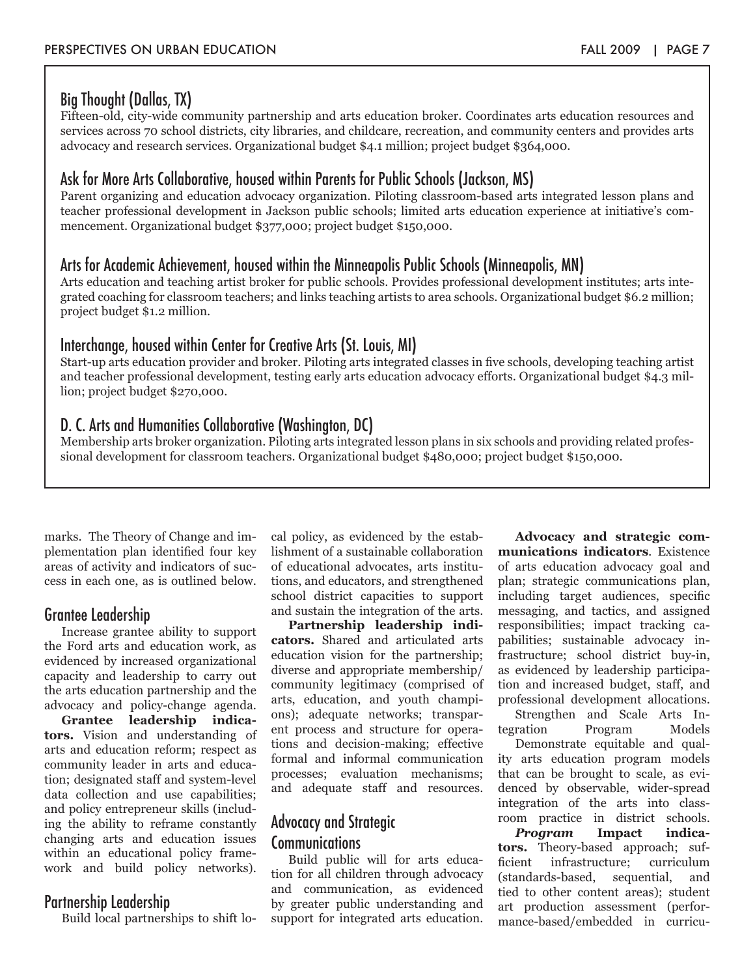### Big Thought (Dallas, TX)

Fifteen-old, city-wide community partnership and arts education broker. Coordinates arts education resources and services across 70 school districts, city libraries, and childcare, recreation, and community centers and provides arts advocacy and research services. Organizational budget \$4.1 million; project budget \$364,000.

### Ask for More Arts Collaborative, housed within Parents for Public Schools (Jackson, MS)

Parent organizing and education advocacy organization. Piloting classroom-based arts integrated lesson plans and teacher professional development in Jackson public schools; limited arts education experience at initiative's commencement. Organizational budget \$377,000; project budget \$150,000.

#### Arts for Academic Achievement, housed within the Minneapolis Public Schools (Minneapolis, MN)

Arts education and teaching artist broker for public schools. Provides professional development institutes; arts integrated coaching for classroom teachers; and links teaching artists to area schools. Organizational budget \$6.2 million; project budget \$1.2 million.

### Interchange, housed within Center for Creative Arts (St. Louis, MI)

Start-up arts education provider and broker. Piloting arts integrated classes in five schools, developing teaching artist and teacher professional development, testing early arts education advocacy efforts. Organizational budget \$4.3 million; project budget \$270,000.

### D. C. Arts and Humanities Collaborative (Washington, DC)

Membership arts broker organization. Piloting arts integrated lesson plans in six schools and providing related professional development for classroom teachers. Organizational budget \$480,000; project budget \$150,000.

marks. The Theory of Change and implementation plan identified four key areas of activity and indicators of success in each one, as is outlined below.

#### Grantee Leadership

Increase grantee ability to support the Ford arts and education work, as evidenced by increased organizational capacity and leadership to carry out the arts education partnership and the advocacy and policy-change agenda.

**Grantee leadership indicators.** Vision and understanding of arts and education reform; respect as community leader in arts and education; designated staff and system-level data collection and use capabilities; and policy entrepreneur skills (including the ability to reframe constantly changing arts and education issues within an educational policy framework and build policy networks).

#### Partnership Leadership

Build local partnerships to shift lo-

cal policy, as evidenced by the establishment of a sustainable collaboration of educational advocates, arts institutions, and educators, and strengthened school district capacities to support and sustain the integration of the arts.

**Partnership leadership indicators.** Shared and articulated arts education vision for the partnership; diverse and appropriate membership/ community legitimacy (comprised of arts, education, and youth champions); adequate networks; transparent process and structure for operations and decision-making; effective formal and informal communication processes; evaluation mechanisms; and adequate staff and resources.

### Advocacy and Strategic Communications

Build public will for arts education for all children through advocacy and communication, as evidenced by greater public understanding and support for integrated arts education.

**Advocacy and strategic communications indicators***.* Existence of arts education advocacy goal and plan; strategic communications plan, including target audiences, specific messaging, and tactics, and assigned responsibilities; impact tracking capabilities; sustainable advocacy infrastructure; school district buy-in, as evidenced by leadership participation and increased budget, staff, and professional development allocations.

Strengthen and Scale Arts Integration Program Models

Demonstrate equitable and quality arts education program models that can be brought to scale, as evidenced by observable, wider-spread integration of the arts into classroom practice in district schools.

*Program* **Impact indicators.** Theory-based approach; sufficient infrastructure; curriculum (standards-based, sequential, and tied to other content areas); student art production assessment (performance-based/embedded in curricu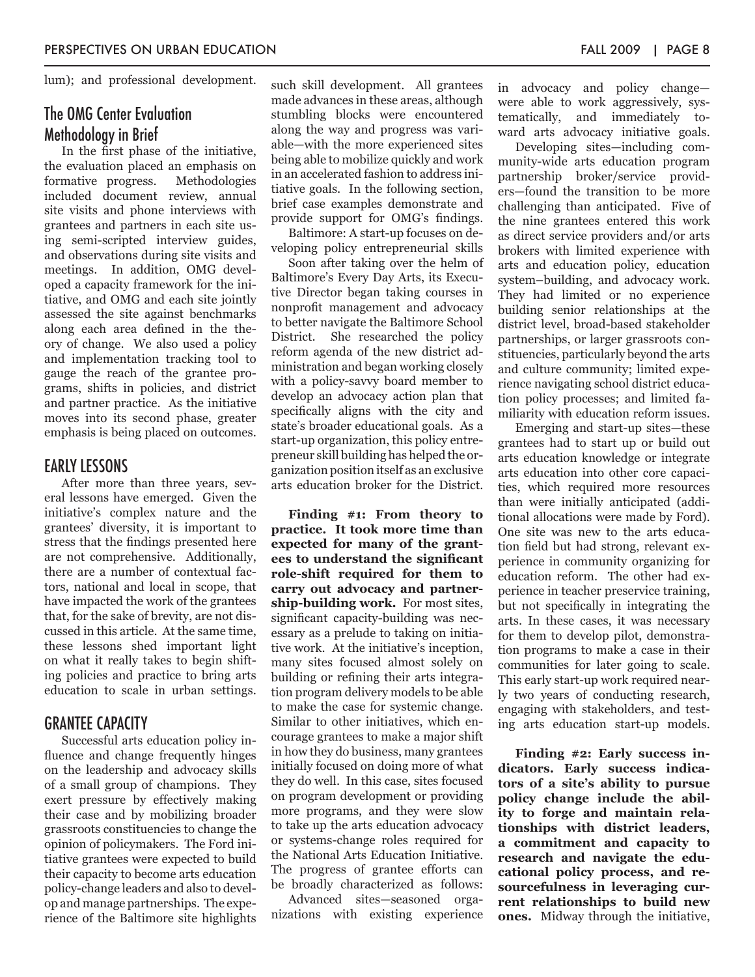lum); and professional development.

#### The OMG Center Evaluation Methodology in Brief

In the first phase of the initiative, the evaluation placed an emphasis on formative progress. Methodologies included document review, annual site visits and phone interviews with grantees and partners in each site using semi-scripted interview guides, and observations during site visits and meetings. In addition, OMG developed a capacity framework for the initiative, and OMG and each site jointly assessed the site against benchmarks along each area defined in the theory of change. We also used a policy and implementation tracking tool to gauge the reach of the grantee programs, shifts in policies, and district and partner practice. As the initiative moves into its second phase, greater emphasis is being placed on outcomes.

#### EARLY LESSONS

After more than three years, several lessons have emerged. Given the initiative's complex nature and the grantees' diversity, it is important to stress that the findings presented here are not comprehensive. Additionally, there are a number of contextual factors, national and local in scope, that have impacted the work of the grantees that, for the sake of brevity, are not discussed in this article. At the same time, these lessons shed important light on what it really takes to begin shifting policies and practice to bring arts education to scale in urban settings.

#### GRANTEE CAPACITY

Successful arts education policy influence and change frequently hinges on the leadership and advocacy skills of a small group of champions. They exert pressure by effectively making their case and by mobilizing broader grassroots constituencies to change the opinion of policymakers. The Ford initiative grantees were expected to build their capacity to become arts education policy-change leaders and also to develop and manage partnerships. The experience of the Baltimore site highlights

such skill development. All grantees made advances in these areas, although stumbling blocks were encountered along the way and progress was variable—with the more experienced sites being able to mobilize quickly and work in an accelerated fashion to address initiative goals. In the following section, brief case examples demonstrate and provide support for OMG's findings.

Baltimore: A start-up focuses on developing policy entrepreneurial skills

Soon after taking over the helm of Baltimore's Every Day Arts, its Executive Director began taking courses in nonprofit management and advocacy to better navigate the Baltimore School District. She researched the policy reform agenda of the new district administration and began working closely with a policy-savvy board member to develop an advocacy action plan that specifically aligns with the city and state's broader educational goals. As a start-up organization, this policy entrepreneur skill building has helped the organization position itself as an exclusive arts education broker for the District.

**Finding #1: From theory to practice. It took more time than expected for many of the grantees to understand the significant role-shift required for them to carry out advocacy and partnership-building work.** For most sites, significant capacity-building was necessary as a prelude to taking on initiative work. At the initiative's inception, many sites focused almost solely on building or refining their arts integration program delivery models to be able to make the case for systemic change. Similar to other initiatives, which encourage grantees to make a major shift in how they do business, many grantees initially focused on doing more of what they do well. In this case, sites focused on program development or providing more programs, and they were slow to take up the arts education advocacy or systems-change roles required for the National Arts Education Initiative. The progress of grantee efforts can be broadly characterized as follows:

Advanced sites—seasoned organizations with existing experience in advocacy and policy change were able to work aggressively, systematically, and immediately toward arts advocacy initiative goals.

Developing sites—including community-wide arts education program partnership broker/service providers—found the transition to be more challenging than anticipated. Five of the nine grantees entered this work as direct service providers and/or arts brokers with limited experience with arts and education policy, education system–building, and advocacy work. They had limited or no experience building senior relationships at the district level, broad-based stakeholder partnerships, or larger grassroots constituencies, particularly beyond the arts and culture community; limited experience navigating school district education policy processes; and limited familiarity with education reform issues.

Emerging and start-up sites—these grantees had to start up or build out arts education knowledge or integrate arts education into other core capacities, which required more resources than were initially anticipated (additional allocations were made by Ford). One site was new to the arts education field but had strong, relevant experience in community organizing for education reform. The other had experience in teacher preservice training, but not specifically in integrating the arts. In these cases, it was necessary for them to develop pilot, demonstration programs to make a case in their communities for later going to scale. This early start-up work required nearly two years of conducting research, engaging with stakeholders, and testing arts education start-up models.

**Finding #2: Early success indicators. Early success indicators of a site's ability to pursue policy change include the ability to forge and maintain relationships with district leaders, a commitment and capacity to research and navigate the educational policy process, and resourcefulness in leveraging current relationships to build new ones.** Midway through the initiative,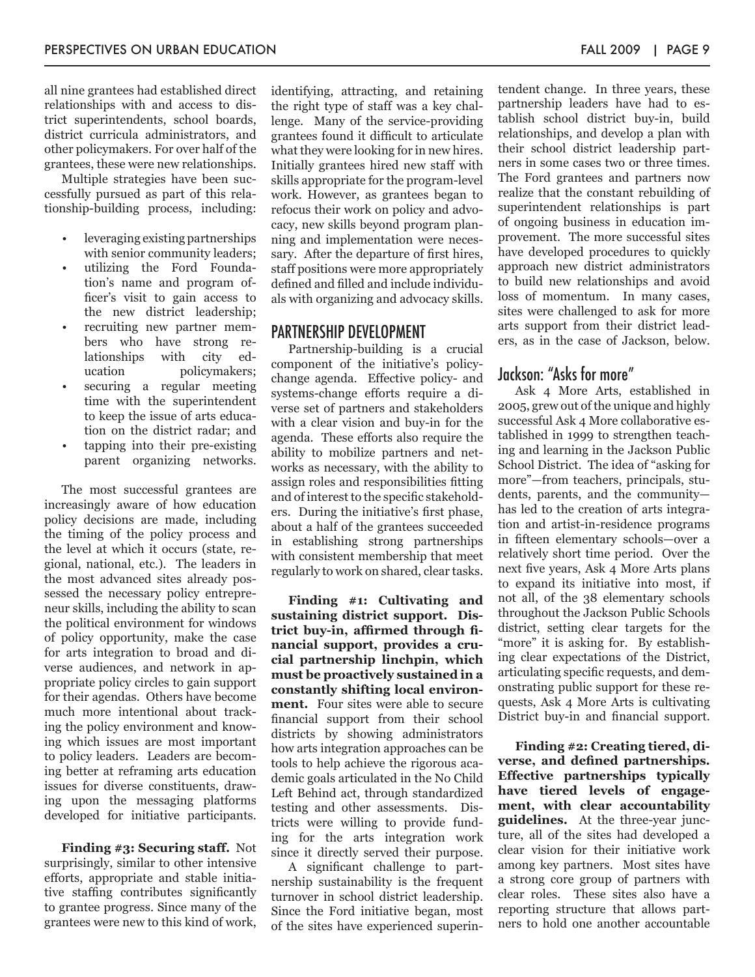all nine grantees had established direct relationships with and access to district superintendents, school boards, district curricula administrators, and other policymakers. For over half of the grantees, these were new relationships.

Multiple strategies have been successfully pursued as part of this relationship-building process, including:

- leveraging existing partnerships with senior community leaders;
- utilizing the Ford Foundation's name and program officer's visit to gain access to the new district leadership;
- recruiting new partner members who have strong relationships with city education policymakers;
- securing a regular meeting time with the superintendent to keep the issue of arts education on the district radar; and
- tapping into their pre-existing parent organizing networks.

The most successful grantees are increasingly aware of how education policy decisions are made, including the timing of the policy process and the level at which it occurs (state, regional, national, etc.). The leaders in the most advanced sites already possessed the necessary policy entrepreneur skills, including the ability to scan the political environment for windows of policy opportunity, make the case for arts integration to broad and diverse audiences, and network in appropriate policy circles to gain support for their agendas. Others have become much more intentional about tracking the policy environment and knowing which issues are most important to policy leaders. Leaders are becoming better at reframing arts education issues for diverse constituents, drawing upon the messaging platforms developed for initiative participants.

**Finding #3: Securing staff.** Not surprisingly, similar to other intensive efforts, appropriate and stable initiative staffing contributes significantly to grantee progress. Since many of the grantees were new to this kind of work,

identifying, attracting, and retaining the right type of staff was a key challenge.Many of the service-providing grantees found it difficult to articulate what they were looking for in new hires. Initially grantees hired new staff with skills appropriate for the program-level work. However, as grantees began to refocus their work on policy and advocacy, new skills beyond program planning and implementation were necessary. After the departure of first hires, staff positions were more appropriately defined and filled and include individuals with organizing and advocacy skills.

#### PARTNERSHIP DEVELOPMENT

Partnership-building is a crucial component of the initiative's policychange agenda. Effective policy- and systems-change efforts require a diverse set of partners and stakeholders with a clear vision and buy-in for the agenda. These efforts also require the ability to mobilize partners and networks as necessary, with the ability to assign roles and responsibilities fitting and of interest to the specific stakeholders. During the initiative's first phase, about a half of the grantees succeeded in establishing strong partnerships with consistent membership that meet regularly to work on shared, clear tasks.

**Finding #1: Cultivating and sustaining district support. District buy-in, affirmed through financial support, provides a crucial partnership linchpin, which must be proactively sustained in a constantly shifting local environment.** Four sites were able to secure financial support from their school districts by showing administrators how arts integration approaches can be tools to help achieve the rigorous academic goals articulated in the No Child Left Behind act, through standardized testing and other assessments. Districts were willing to provide funding for the arts integration work since it directly served their purpose.

A significant challenge to partnership sustainability is the frequent turnover in school district leadership. Since the Ford initiative began, most of the sites have experienced superintendent change. In three years, these partnership leaders have had to establish school district buy-in, build relationships, and develop a plan with their school district leadership partners in some cases two or three times. The Ford grantees and partners now realize that the constant rebuilding of superintendent relationships is part of ongoing business in education improvement. The more successful sites have developed procedures to quickly approach new district administrators to build new relationships and avoid loss of momentum. In many cases, sites were challenged to ask for more arts support from their district leaders, as in the case of Jackson, below.

#### Jackson: "Asks for more"

Ask 4 More Arts, established in 2005, grew out of the unique and highly successful Ask 4 More collaborative established in 1999 to strengthen teaching and learning in the Jackson Public School District. The idea of "asking for more"—from teachers, principals, students, parents, and the community has led to the creation of arts integration and artist-in-residence programs in fifteen elementary schools—over a relatively short time period. Over the next five years, Ask 4 More Arts plans to expand its initiative into most, if not all, of the 38 elementary schools throughout the Jackson Public Schools district, setting clear targets for the "more" it is asking for. By establishing clear expectations of the District, articulating specific requests, and demonstrating public support for these requests, Ask 4 More Arts is cultivating District buy-in and financial support.

**Finding #2: Creating tiered, diverse, and defined partnerships. Effective partnerships typically have tiered levels of engagement, with clear accountability guidelines.** At the three-year juncture, all of the sites had developed a clear vision for their initiative work among key partners. Most sites have a strong core group of partners with clear roles. These sites also have a reporting structure that allows partners to hold one another accountable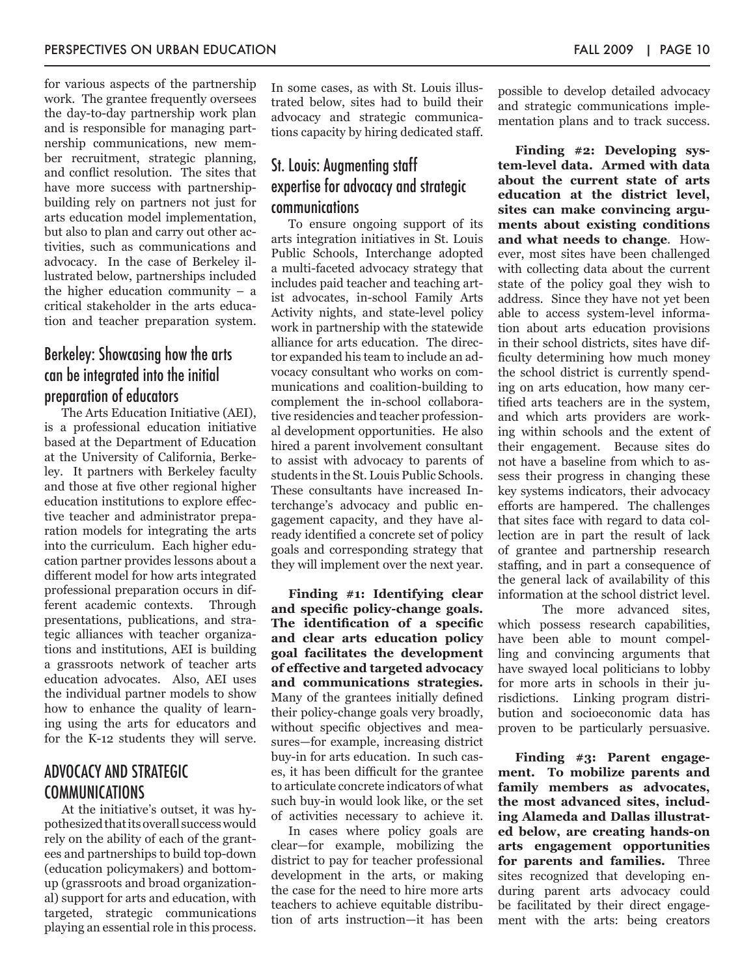for various aspects of the partnership work. The grantee frequently oversees the day-to-day partnership work plan and is responsible for managing partnership communications, new member recruitment, strategic planning, and conflict resolution. The sites that have more success with partnershipbuilding rely on partners not just for arts education model implementation, but also to plan and carry out other activities, such as communications and advocacy. In the case of Berkeley illustrated below, partnerships included the higher education community – a critical stakeholder in the arts education and teacher preparation system.

### Berkeley: Showcasing how the arts can be integrated into the initial preparation of educators

The Arts Education Initiative (AEI), is a professional education initiative based at the Department of Education at the University of California, Berkeley. It partners with Berkeley faculty and those at five other regional higher education institutions to explore effective teacher and administrator preparation models for integrating the arts into the curriculum. Each higher education partner provides lessons about a different model for how arts integrated professional preparation occurs in different academic contexts. Through presentations, publications, and strategic alliances with teacher organizations and institutions, AEI is building a grassroots network of teacher arts education advocates. Also, AEI uses the individual partner models to show how to enhance the quality of learning using the arts for educators and for the K-12 students they will serve.

### ADVOCACY AND STRATEGIC COMMUNICATIONS

At the initiative's outset, it was hypothesized that its overall success would rely on the ability of each of the grantees and partnerships to build top-down (education policymakers) and bottomup (grassroots and broad organizational) support for arts and education, with targeted, strategic communications playing an essential role in this process.

In some cases, as with St. Louis illustrated below, sites had to build their advocacy and strategic communications capacity by hiring dedicated staff.

### St. Louis: Augmenting staff expertise for advocacy and strategic communications

To ensure ongoing support of its arts integration initiatives in St. Louis Public Schools, Interchange adopted a multi-faceted advocacy strategy that includes paid teacher and teaching artist advocates, in-school Family Arts Activity nights, and state-level policy work in partnership with the statewide alliance for arts education. The director expanded his team to include an advocacy consultant who works on communications and coalition-building to complement the in-school collaborative residencies and teacher professional development opportunities. He also hired a parent involvement consultant to assist with advocacy to parents of students in the St. Louis Public Schools. These consultants have increased Interchange's advocacy and public engagement capacity, and they have already identified a concrete set of policy goals and corresponding strategy that they will implement over the next year.

**Finding #1: Identifying clear and specific policy-change goals. The identification of a specific and clear arts education policy goal facilitates the development of effective and targeted advocacy and communications strategies.**  Many of the grantees initially defined their policy-change goals very broadly, without specific objectives and measures—for example, increasing district buy-in for arts education. In such cases, it has been difficult for the grantee to articulate concrete indicators of what such buy-in would look like, or the set of activities necessary to achieve it.

In cases where policy goals are clear—for example, mobilizing the district to pay for teacher professional development in the arts, or making the case for the need to hire more arts teachers to achieve equitable distribution of arts instruction—it has been

possible to develop detailed advocacy and strategic communications implementation plans and to track success.

**Finding #2: Developing system-level data. Armed with data about the current state of arts education at the district level, sites can make convincing arguments about existing conditions and what needs to change**. However, most sites have been challenged with collecting data about the current state of the policy goal they wish to address. Since they have not yet been able to access system-level information about arts education provisions in their school districts, sites have difficulty determining how much money the school district is currently spending on arts education, how many certified arts teachers are in the system, and which arts providers are working within schools and the extent of their engagement. Because sites do not have a baseline from which to assess their progress in changing these key systems indicators, their advocacy efforts are hampered. The challenges that sites face with regard to data collection are in part the result of lack of grantee and partnership research staffing, and in part a consequence of the general lack of availability of this information at the school district level.

The more advanced sites, which possess research capabilities, have been able to mount compelling and convincing arguments that have swayed local politicians to lobby for more arts in schools in their jurisdictions. Linking program distribution and socioeconomic data has proven to be particularly persuasive.

**Finding #3: Parent engagement. To mobilize parents and family members as advocates, the most advanced sites, including Alameda and Dallas illustrated below, are creating hands-on arts engagement opportunities for parents and families.** Three sites recognized that developing enduring parent arts advocacy could be facilitated by their direct engagement with the arts: being creators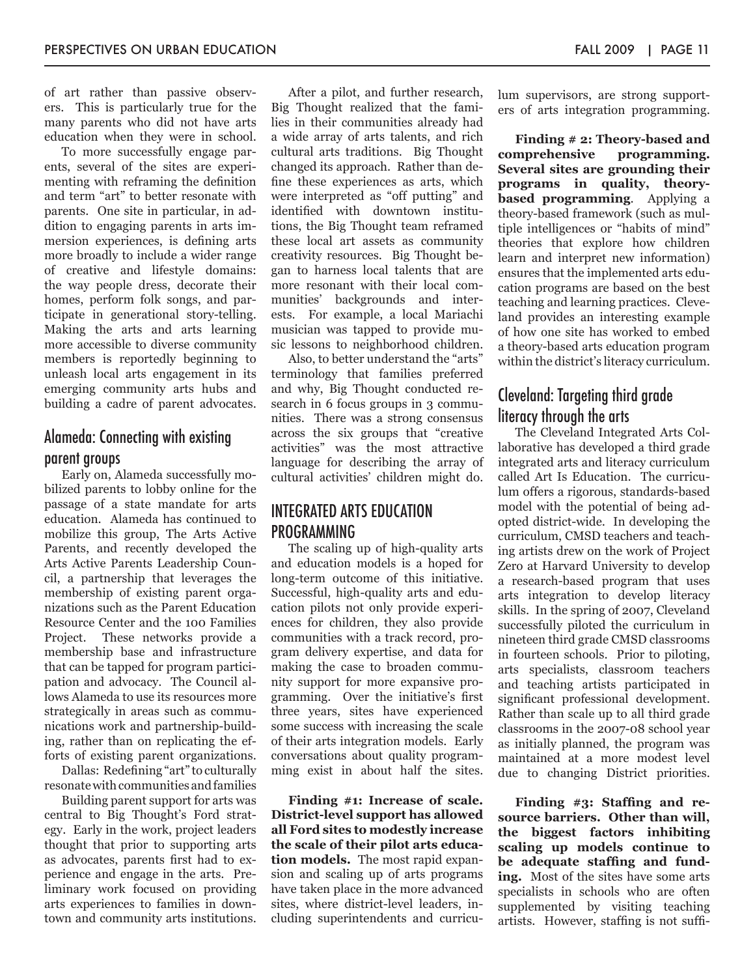of art rather than passive observers. This is particularly true for the many parents who did not have arts education when they were in school.

To more successfully engage parents, several of the sites are experimenting with reframing the definition and term "art" to better resonate with parents.One site in particular, in addition to engaging parents in arts immersion experiences, is defining arts more broadly to include a wider range of creative and lifestyle domains: the way people dress, decorate their homes, perform folk songs, and participate in generational story-telling. Making the arts and arts learning more accessible to diverse community members is reportedly beginning to unleash local arts engagement in its emerging community arts hubs and building a cadre of parent advocates.

### Alameda: Connecting with existing parent groups

Early on, Alameda successfully mobilized parents to lobby online for the passage of a state mandate for arts education. Alameda has continued to mobilize this group, The Arts Active Parents, and recently developed the Arts Active Parents Leadership Council, a partnership that leverages the membership of existing parent organizations such as the Parent Education Resource Center and the 100 Families Project. These networks provide a membership base and infrastructure that can be tapped for program participation and advocacy. The Council allows Alameda to use its resources more strategically in areas such as communications work and partnership-building, rather than on replicating the efforts of existing parent organizations.

Dallas: Redefining "art" to culturally resonate with communities and families

Building parent support for arts was central to Big Thought's Ford strategy. Early in the work, project leaders thought that prior to supporting arts as advocates, parents first had to experience and engage in the arts. Preliminary work focused on providing arts experiences to families in downtown and community arts institutions.

After a pilot, and further research, Big Thought realized that the families in their communities already had a wide array of arts talents, and rich cultural arts traditions. Big Thought changed its approach. Rather than define these experiences as arts, which were interpreted as "off putting" and identified with downtown institutions, the Big Thought team reframed these local art assets as community creativity resources. Big Thought began to harness local talents that are more resonant with their local communities' backgrounds and interests. For example, a local Mariachi musician was tapped to provide music lessons to neighborhood children.

Also, to better understand the "arts" terminology that families preferred and why, Big Thought conducted research in 6 focus groups in 3 communities. There was a strong consensus across the six groups that "creative activities" was the most attractive language for describing the array of cultural activities' children might do.

#### INTEGRATED ARTS EDUCATION PROGRAMMING

The scaling up of high-quality arts and education models is a hoped for long-term outcome of this initiative. Successful, high-quality arts and education pilots not only provide experiences for children, they also provide communities with a track record, program delivery expertise, and data for making the case to broaden community support for more expansive programming. Over the initiative's first three years, sites have experienced some success with increasing the scale of their arts integration models. Early conversations about quality programming exist in about half the sites.

**Finding #1: Increase of scale. District-level support has allowed all Ford sites to modestly increase the scale of their pilot arts education models.** The most rapid expansion and scaling up of arts programs have taken place in the more advanced sites, where district-level leaders, including superintendents and curriculum supervisors, are strong supporters of arts integration programming.

**Finding # 2: Theory-based and comprehensive programming. Several sites are grounding their programs in quality, theorybased programming**. Applying a theory-based framework (such as multiple intelligences or "habits of mind" theories that explore how children learn and interpret new information) ensures that the implemented arts education programs are based on the best teaching and learning practices. Cleveland provides an interesting example of how one site has worked to embed a theory-based arts education program within the district's literacy curriculum.

### Cleveland: Targeting third grade literacy through the arts

The Cleveland Integrated Arts Collaborative has developed a third grade integrated arts and literacy curriculum called Art Is Education. The curriculum offers a rigorous, standards-based model with the potential of being adopted district-wide. In developing the curriculum, CMSD teachers and teaching artists drew on the work of Project Zero at Harvard University to develop a research-based program that uses arts integration to develop literacy skills. In the spring of 2007, Cleveland successfully piloted the curriculum in nineteen third grade CMSD classrooms in fourteen schools. Prior to piloting, arts specialists, classroom teachers and teaching artists participated in significant professional development. Rather than scale up to all third grade classrooms in the 2007-08 school year as initially planned, the program was maintained at a more modest level due to changing District priorities.

**Finding #3: Staffing and resource barriers. Other than will, the biggest factors inhibiting scaling up models continue to be adequate staffing and funding.** Most of the sites have some arts specialists in schools who are often supplemented by visiting teaching artists. However, staffing is not suffi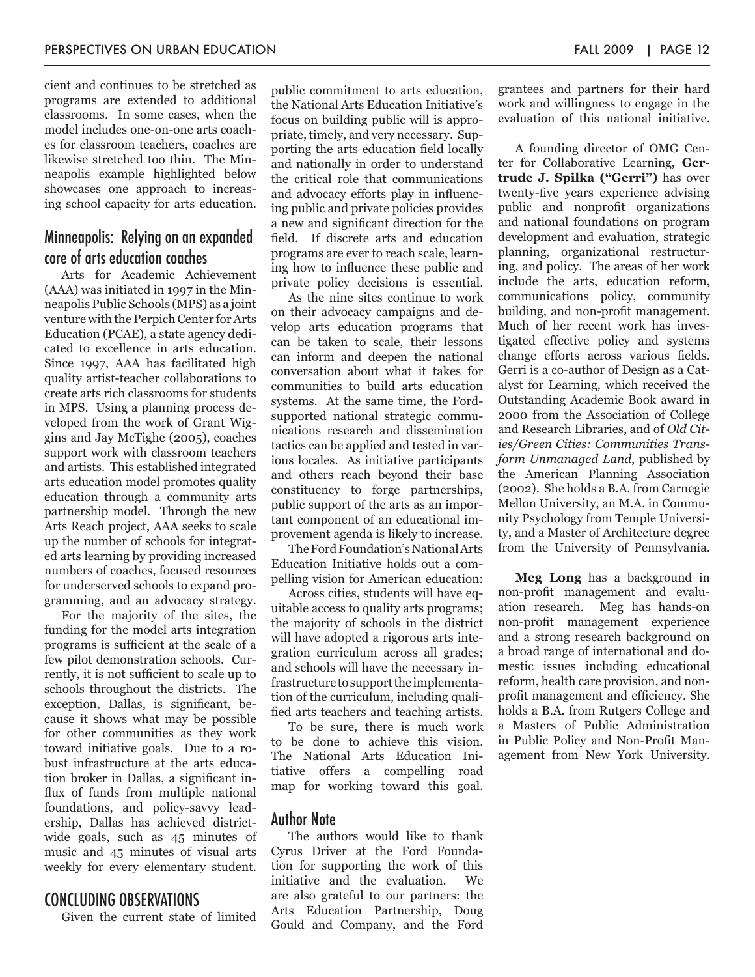cient and continues to be stretched as programs are extended to additional classrooms. In some cases, when the model includes one-on-one arts coaches for classroom teachers, coaches are likewise stretched too thin. The Minneapolis example highlighted below showcases one approach to increasing school capacity for arts education.

### Minneapolis: Relying on an expanded core of arts education coaches

Arts for Academic Achievement (AAA) was initiated in 1997 in the Minneapolis Public Schools (MPS) as a joint venture with the Perpich Center for Arts Education (PCAE), a state agency dedicated to excellence in arts education. Since 1997, AAA has facilitated high quality artist-teacher collaborations to create arts rich classrooms for students in MPS. Using a planning process developed from the work of Grant Wiggins and Jay McTighe (2005), coaches support work with classroom teachers and artists. This established integrated arts education model promotes quality education through a community arts partnership model. Through the new Arts Reach project, AAA seeks to scale up the number of schools for integrated arts learning by providing increased numbers of coaches, focused resources for underserved schools to expand programming, and an advocacy strategy.

For the majority of the sites, the funding for the model arts integration programs is sufficient at the scale of a few pilot demonstration schools. Currently, it is not sufficient to scale up to schools throughout the districts. The exception, Dallas, is significant, because it shows what may be possible for other communities as they work toward initiative goals. Due to a robust infrastructure at the arts education broker in Dallas, a significant influx of funds from multiple national foundations, and policy-savvy leadership, Dallas has achieved districtwide goals, such as 45 minutes of music and 45 minutes of visual arts weekly for every elementary student.

#### CONCLUDING OBSERVATIONS

Given the current state of limited

public commitment to arts education, the National Arts Education Initiative's focus on building public will is appropriate, timely, and very necessary. Supporting the arts education field locally and nationally in order to understand the critical role that communications and advocacy efforts play in influencing public and private policies provides a new and significant direction for the field. If discrete arts and education programs are ever to reach scale, learning how to influence these public and private policy decisions is essential.

As the nine sites continue to work on their advocacy campaigns and develop arts education programs that can be taken to scale, their lessons can inform and deepen the national conversation about what it takes for communities to build arts education systems. At the same time, the Fordsupported national strategic communications research and dissemination tactics can be applied and tested in various locales. As initiative participants and others reach beyond their base constituency to forge partnerships, public support of the arts as an important component of an educational improvement agenda is likely to increase.

The Ford Foundation's National Arts Education Initiative holds out a compelling vision for American education:

Across cities, students will have equitable access to quality arts programs; the majority of schools in the district will have adopted a rigorous arts integration curriculum across all grades; and schools will have the necessary infrastructure to support the implementation of the curriculum, including qualified arts teachers and teaching artists.

To be sure, there is much work to be done to achieve this vision. The National Arts Education Initiative offers a compelling road map for working toward this goal.

#### Author Note

The authors would like to thank Cyrus Driver at the Ford Foundation for supporting the work of this initiative and the evaluation. We are also grateful to our partners: the Arts Education Partnership, Doug Gould and Company, and the Ford grantees and partners for their hard work and willingness to engage in the evaluation of this national initiative.

A founding director of OMG Center for Collaborative Learning, **Gertrude J. Spilka ("Gerri")** has over twenty-five years experience advising public and nonprofit organizations and national foundations on program development and evaluation, strategic planning, organizational restructuring, and policy. The areas of her work include the arts, education reform, communications policy, community building, and non-profit management. Much of her recent work has investigated effective policy and systems change efforts across various fields. Gerri is a co-author of Design as a Catalyst for Learning, which received the Outstanding Academic Book award in 2000 from the Association of College and Research Libraries, and of *Old Cities/Green Cities: Communities Transform Unmanaged Land*, published by the American Planning Association (2002). She holds a B.A. from Carnegie Mellon University, an M.A. in Community Psychology from Temple University, and a Master of Architecture degree from the University of Pennsylvania.

**Meg Long** has a background in non-profit management and evaluation research. Meg has hands-on non-profit management experience and a strong research background on a broad range of international and domestic issues including educational reform, health care provision, and nonprofit management and efficiency. She holds a B.A. from Rutgers College and a Masters of Public Administration in Public Policy and Non-Profit Management from New York University.